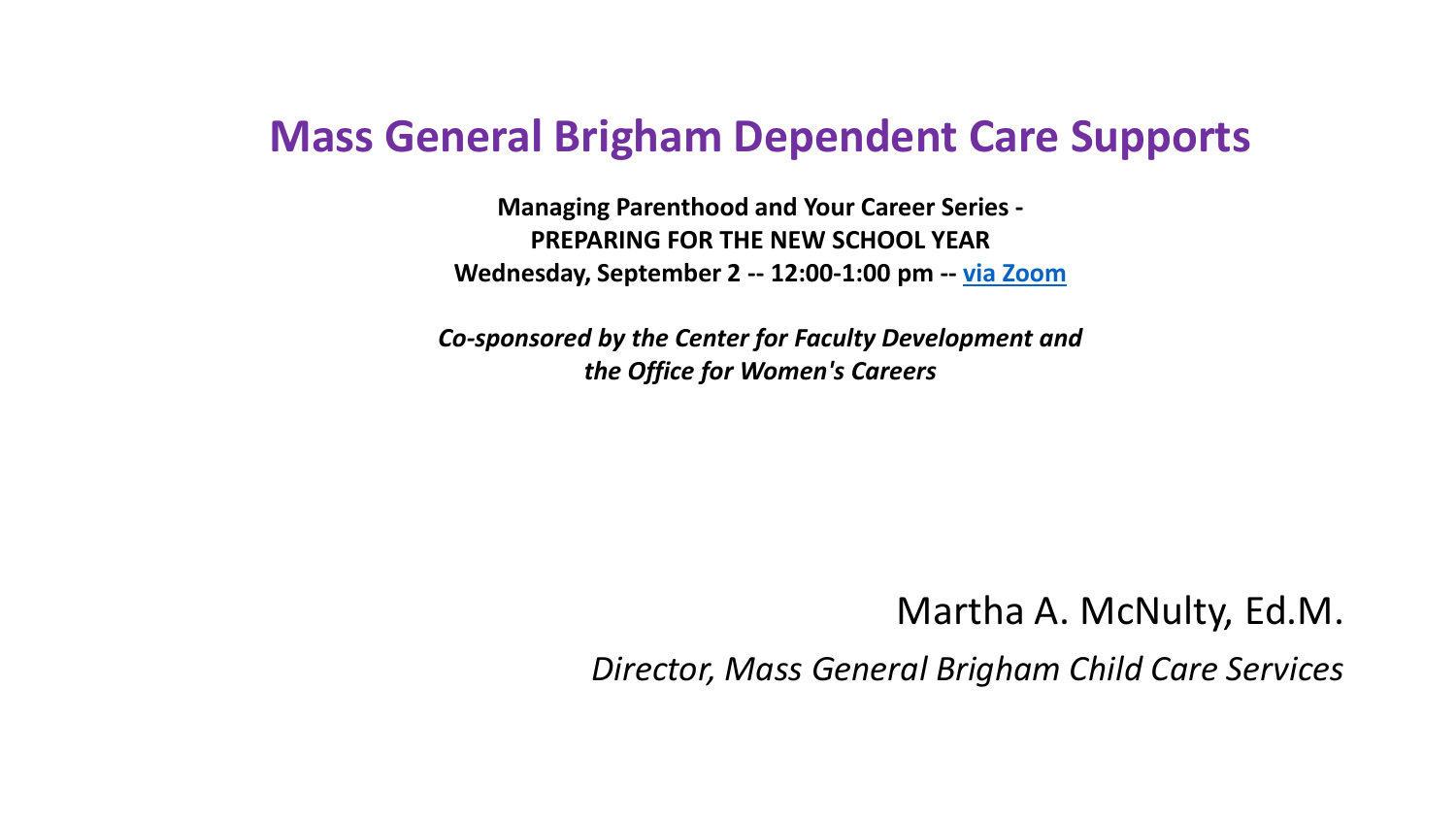# **Mass General Brigham Dependent Care Supports**

**Managing Parenthood and Your Career Series - PREPARING FOR THE NEW SCHOOL YEAR Wednesday, September 2 -- 12:00-1:00 pm -- [via Zoom](http://r20.rs6.net/tn.jsp?f=001dAXJLk627TWv7ml19fGdxBu9T0Hv0TZesTw7UnRSSGdI3QSnsF9LbtU2bp1uZaxeICT274EL_a5E8eg6UD4pI_BbNnxqEqfmZmGG5emH-efbl8KVJJrr_FD524jYsPCmKCgJoNjFTkVAe6y7n1nvVKlnRqZ4a40aQpgUS27eMR4=&c=20XQpz3JuIp8nagOHzkRoBKcdhdnogTmaEoC5LwURarhRKMEgecf1A==&ch=KM5DLyGdK7dppjG8pdl_TUGQ7k7q2ukrzsshQQvjanhyWIxWO31CVw==)**

*Co-sponsored by the Center for Faculty Development and the Office for Women's Careers*

### Martha A. McNulty, Ed.M.

*Director, Mass General Brigham Child Care Services*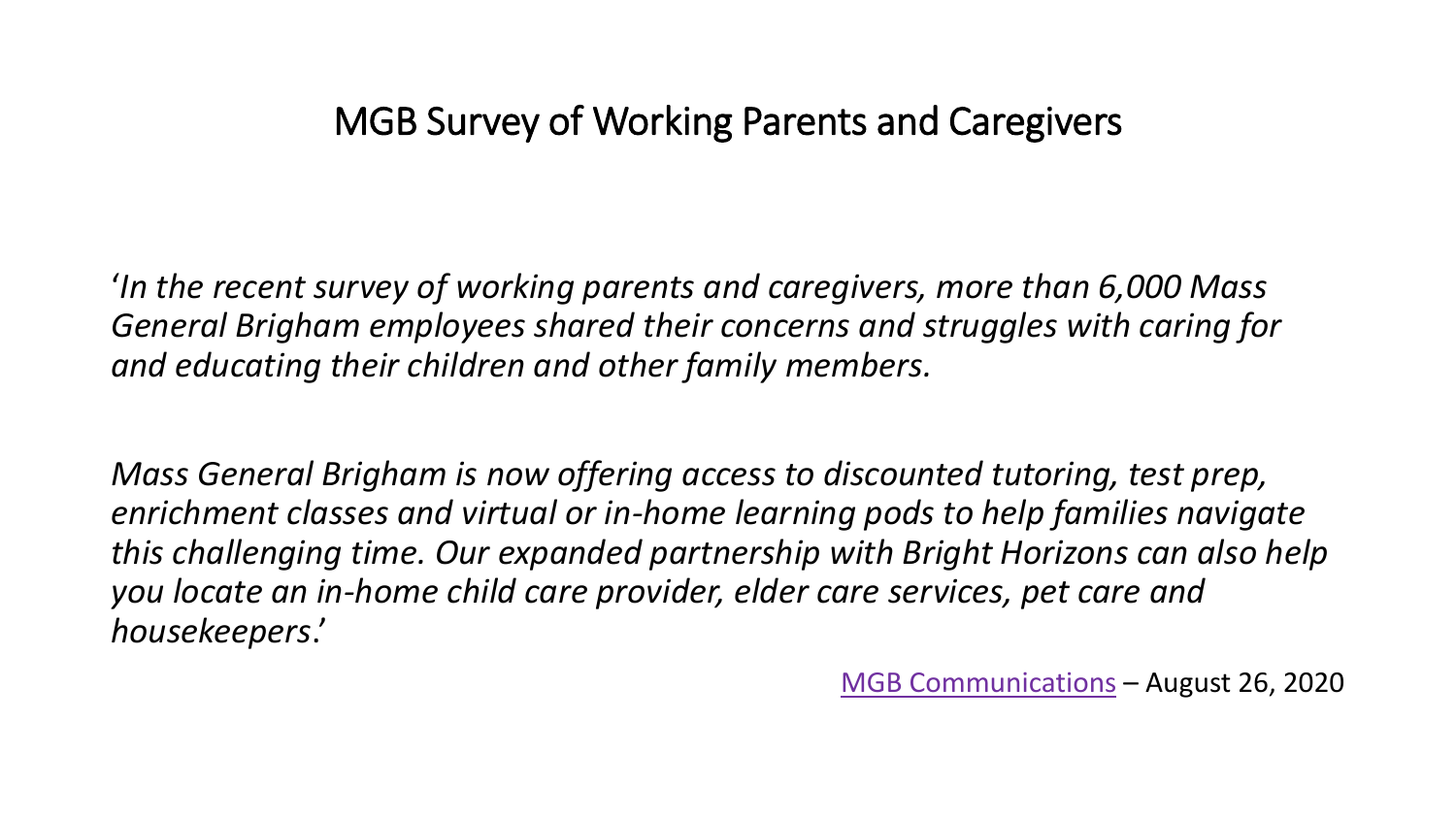## MGB Survey of Working Parents and Caregivers

'*In the recent survey of working parents and caregivers, more than 6,000 Mass General Brigham employees shared their concerns and struggles with caring for and educating their children and other family members.* 

*Mass General Brigham is now offering access to discounted tutoring, test prep, enrichment classes and virtual or in-home learning pods to help families navigate this challenging time. Our expanded partnership with Bright Horizons can also help you locate an in-home child care provider, elder care services, pet care and housekeepers*.'

[MGB Communications](https://pulse.massgeneralbrigham.org/.profile/ccontent) – August 26, 2020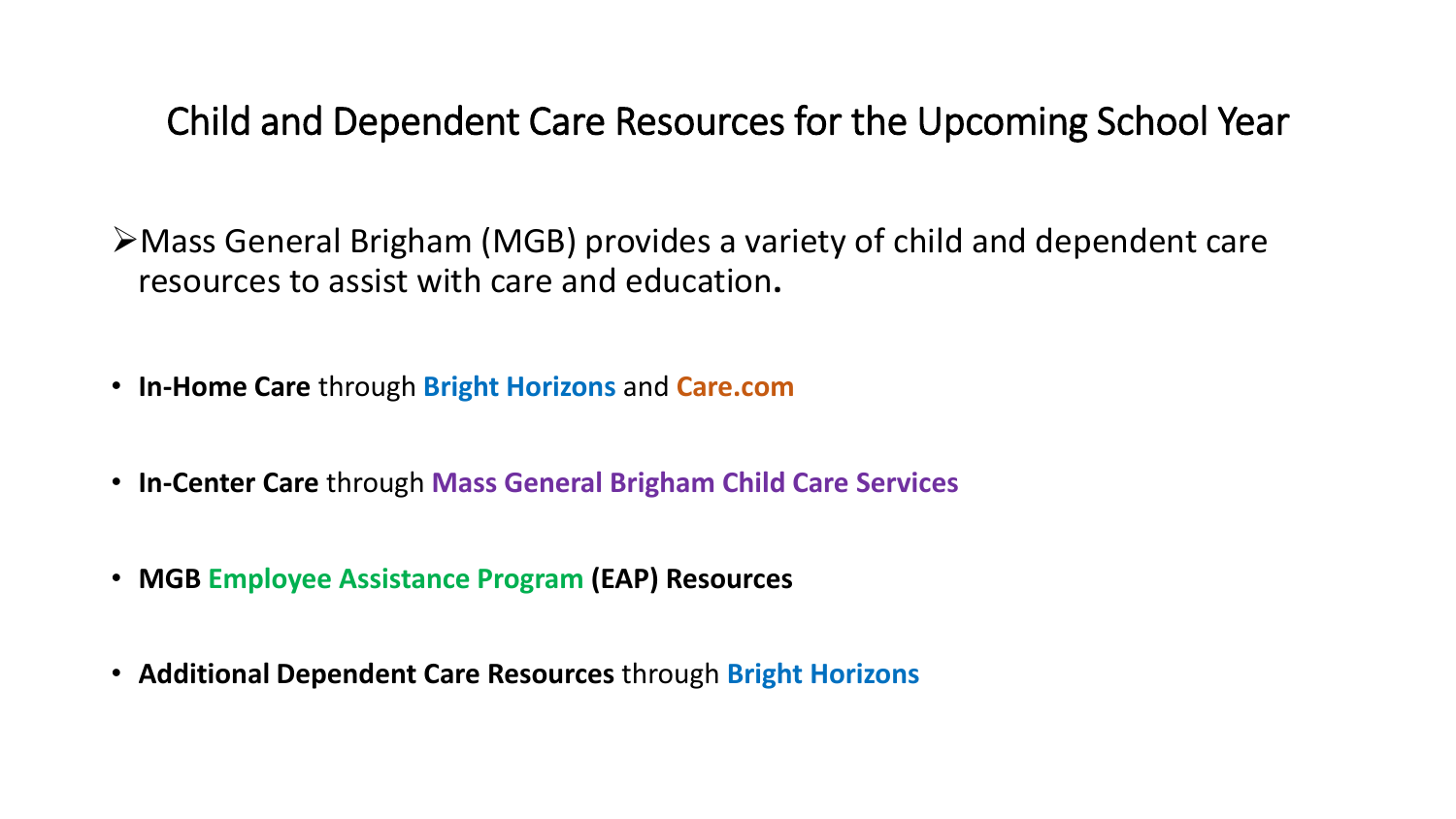Child and Dependent Care Resources for the Upcoming School Year

➢Mass General Brigham (MGB) provides a variety of child and dependent care resources to assist with care and education**.**

- **In-Home Care** through **Bright Horizons** and **Care.com**
- **In-Center Care** through **Mass General Brigham Child Care Services**
- **MGB Employee Assistance Program (EAP) Resources**
- **Additional Dependent Care Resources** through **Bright Horizons**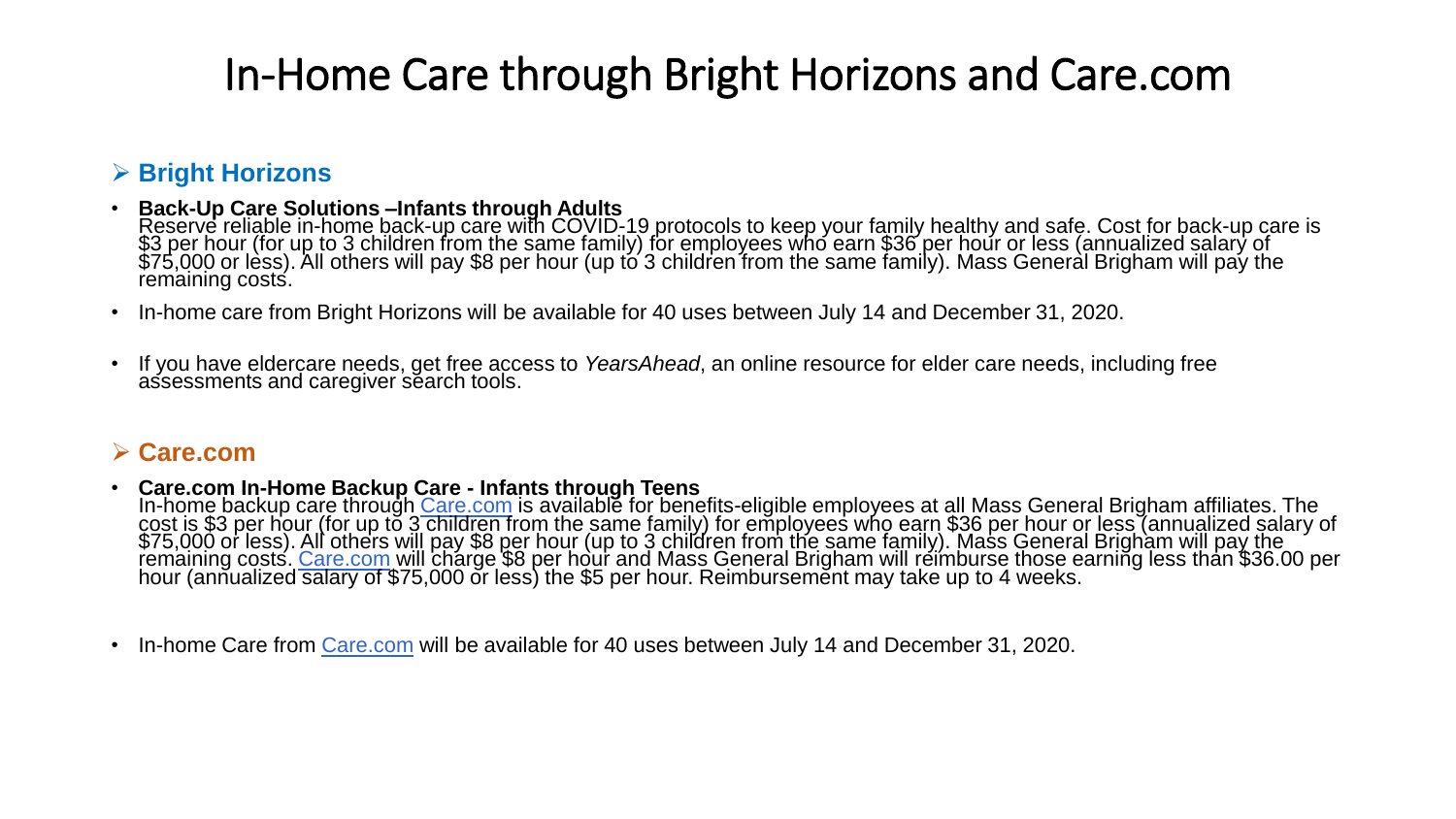# In-Home Care through Bright Horizons and Care.com

#### ➢ **Bright Horizons**

- **Back-Up Care Solutions –Infants through Adults** Reserve reliable in-home back-up care with COVID-19 protocols to keep your family healthy and safe. Cost for back-up care is \$3 per hour (for up to 3 children from the same family) for employees who earn \$36 per hour or less (annualized salary of  $\$75,000$  or lèss). All others will pay \$8 per hour (up to 3 children from the same family). Mass General Brigham will pay the remaining costs.
- In-home care from Bright Horizons will be available for 40 uses between July 14 and December 31, 2020.
- If you have eldercare needs, get free access to *YearsAhead*, an online resource for elder care needs, including free assessments and caregiver search tools.

#### ➢ **Care.com**

- **Care.com In-Home Backup Care - Infants through Teens** In-home backup care through [Care.com](https://www.massgeneralbrigham.org/for-employees/child-care) is available for benefits-eligible employees at all Mass General Brigham affiliates. The cost is \$3 per hour (for up to 3 children from the same family) for employees who earn \$36 per hour or less (annualized salary of \$75,000 or less). All others will pay \$8 per hour (up to 3 children from the same family). Mass General Brigham will pay the remaining costs. <u>Care.com will</u> charge \$8 per hour and Mass General Brigham will reimburse those earning less than \$36.00 per hour (annualized salary of \$75,000 or less) the \$5 per hour. Reimbursement may take up to 4 weeks.
- In-home Care from [Care.com](https://www.massgeneralbrigham.org/for-employees/child-care) will be available for 40 uses between July 14 and December 31, 2020.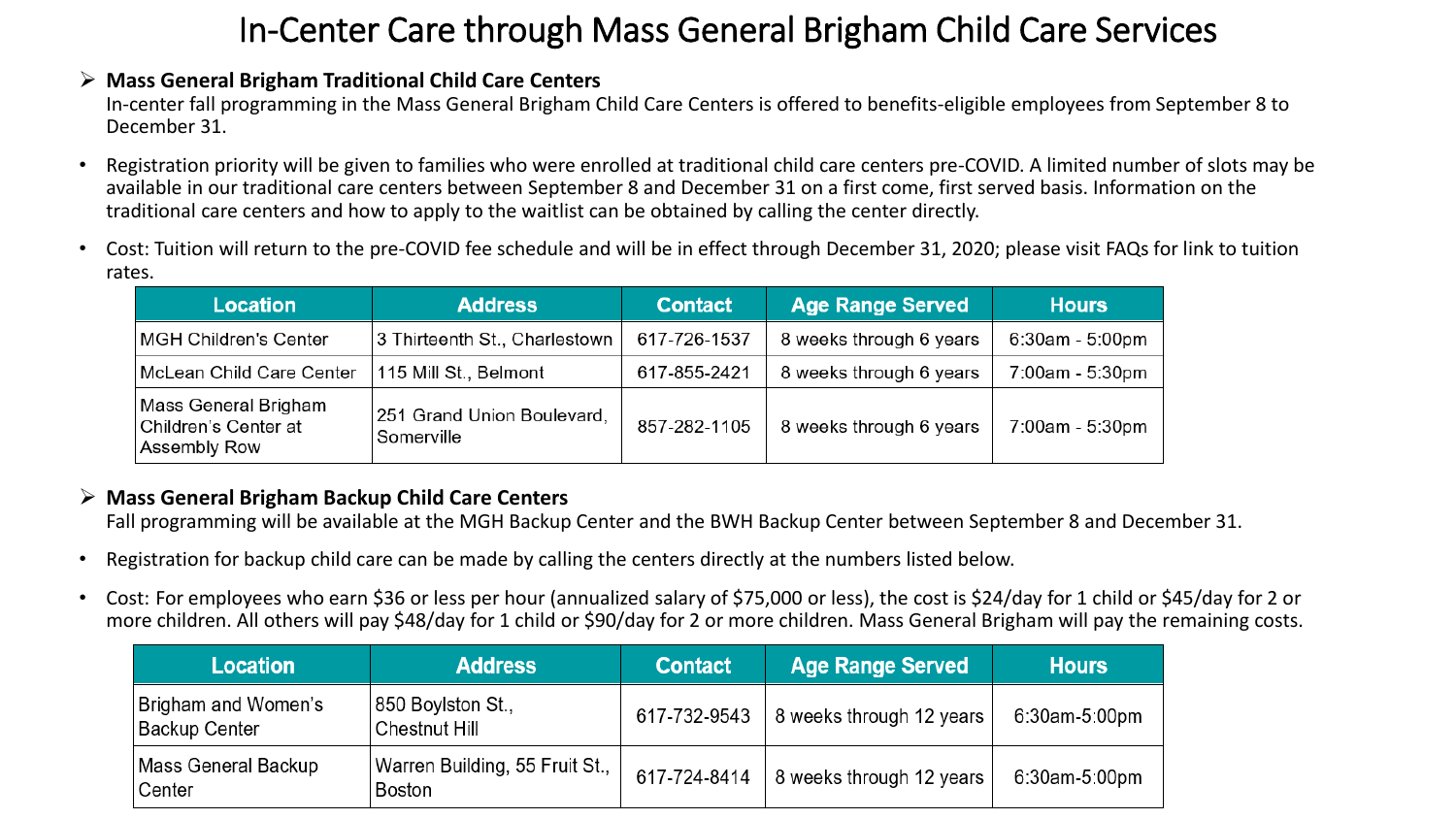## In-Center Care through Mass General Brigham Child Care Services

#### ➢ **Mass General Brigham Traditional Child Care Centers**

In-center fall programming in the Mass General Brigham Child Care Centers is offered to benefits-eligible employees from September 8 to December 31.

- Registration priority will be given to families who were enrolled at traditional child care centers pre-COVID. A limited number of slots may be available in our traditional care centers between September 8 and December 31 on a first come, first served basis. Information on the traditional care centers and how to apply to the waitlist can be obtained by calling the center directly.
- Cost: Tuition will return to the pre-COVID fee schedule and will be in effect through December 31, 2020; please visit FAQs for link to tuition rates.

| <b>Location</b>                                              | <b>Address</b>                           | <b>Contact</b> | <b>Age Range Served</b> | <b>Hours</b>      |
|--------------------------------------------------------------|------------------------------------------|----------------|-------------------------|-------------------|
| <b>MGH Children's Center</b>                                 | 3 Thirteenth St., Charlestown            | 617-726-1537   | 8 weeks through 6 years | $6:30am - 5:00pm$ |
| McLean Child Care Center                                     | 115 Mill St., Belmont                    | 617-855-2421   | 8 weeks through 6 years | 7:00am - 5:30pm   |
| Mass General Brigham<br>Children's Center at<br>Assembly Row | 251 Grand Union Boulevard,<br>Somerville | 857-282-1105   | 8 weeks through 6 years | 7:00am - 5:30pm   |

#### ➢ **Mass General Brigham Backup Child Care Centers**

Fall programming will be available at the MGH Backup Center and the BWH Backup Center between September 8 and December 31.

- Registration for backup child care can be made by calling the centers directly at the numbers listed below.
- Cost: For employees who earn \$36 or less per hour (annualized salary of \$75,000 or less), the cost is \$24/day for 1 child or \$45/day for 2 or more children. All others will pay \$48/day for 1 child or \$90/day for 2 or more children. Mass General Brigham will pay the remaining costs.

| <b>Location</b>                      | <b>Address</b>                                  | <b>Contact</b> | <b>Age Range Served</b>  | <b>Hours</b>  |
|--------------------------------------|-------------------------------------------------|----------------|--------------------------|---------------|
| Brigham and Women's<br>Backup Center | 850 Boylston St.,<br>Chestnut Hill              | 617-732-9543   | 8 weeks through 12 years | 6:30am-5:00pm |
| Mass General Backup<br>∣Center       | Warren Building, 55 Fruit St.,<br><b>Boston</b> | 617-724-8414   | 8 weeks through 12 years | 6:30am-5:00pm |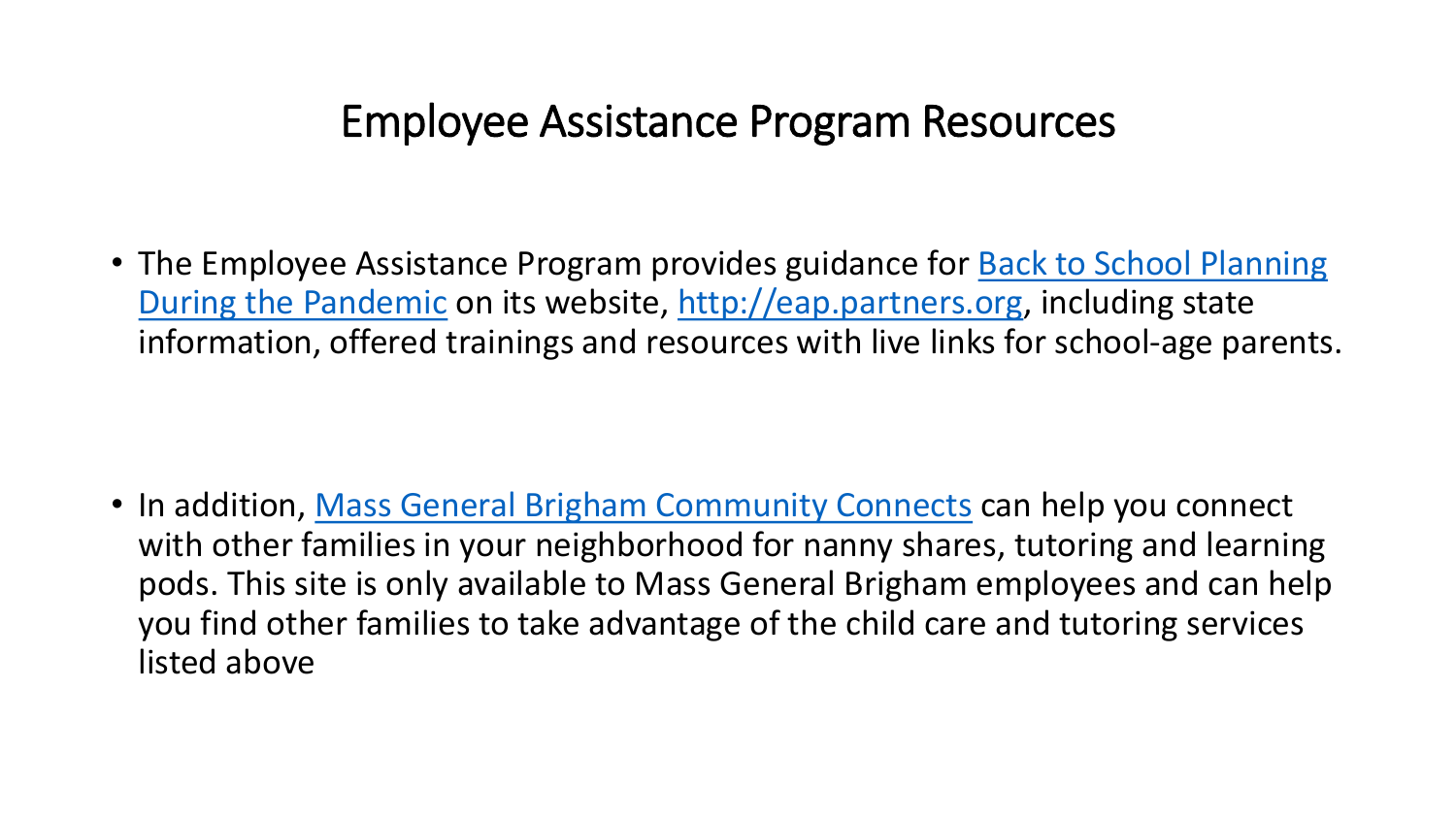# Employee Assistance Program Resources

• The Employee Assistance Program provides guidance for Back to School Planning During the Pandemic on its website, [http://eap.partners.org,](http://eap.partners.org/) including state information, offered trainings and resources with live links for school-age parents.

• In addition, [Mass General Brigham Community Connects](https://community-help.mgh.harvard.edu/) can help you connect with other families in your neighborhood for nanny shares, tutoring and learning pods. This site is only available to Mass General Brigham employees and can help you find other families to take advantage of the child care and tutoring services listed above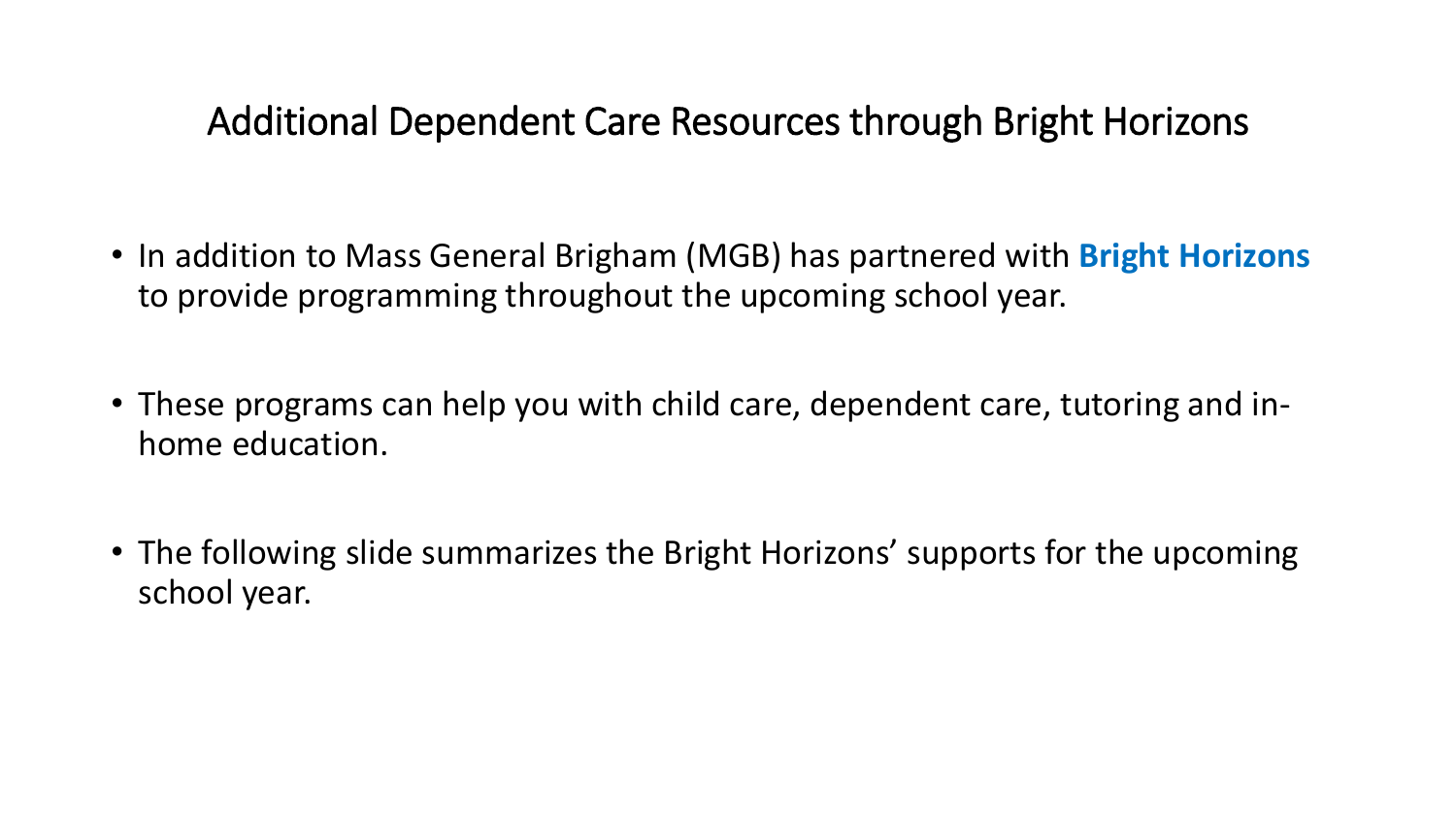# Additional Dependent Care Resources through Bright Horizons

- In addition to Mass General Brigham (MGB) has partnered with **Bright Horizons**  to provide programming throughout the upcoming school year.
- These programs can help you with child care, dependent care, tutoring and inhome education.
- The following slide summarizes the Bright Horizons' supports for the upcoming school year.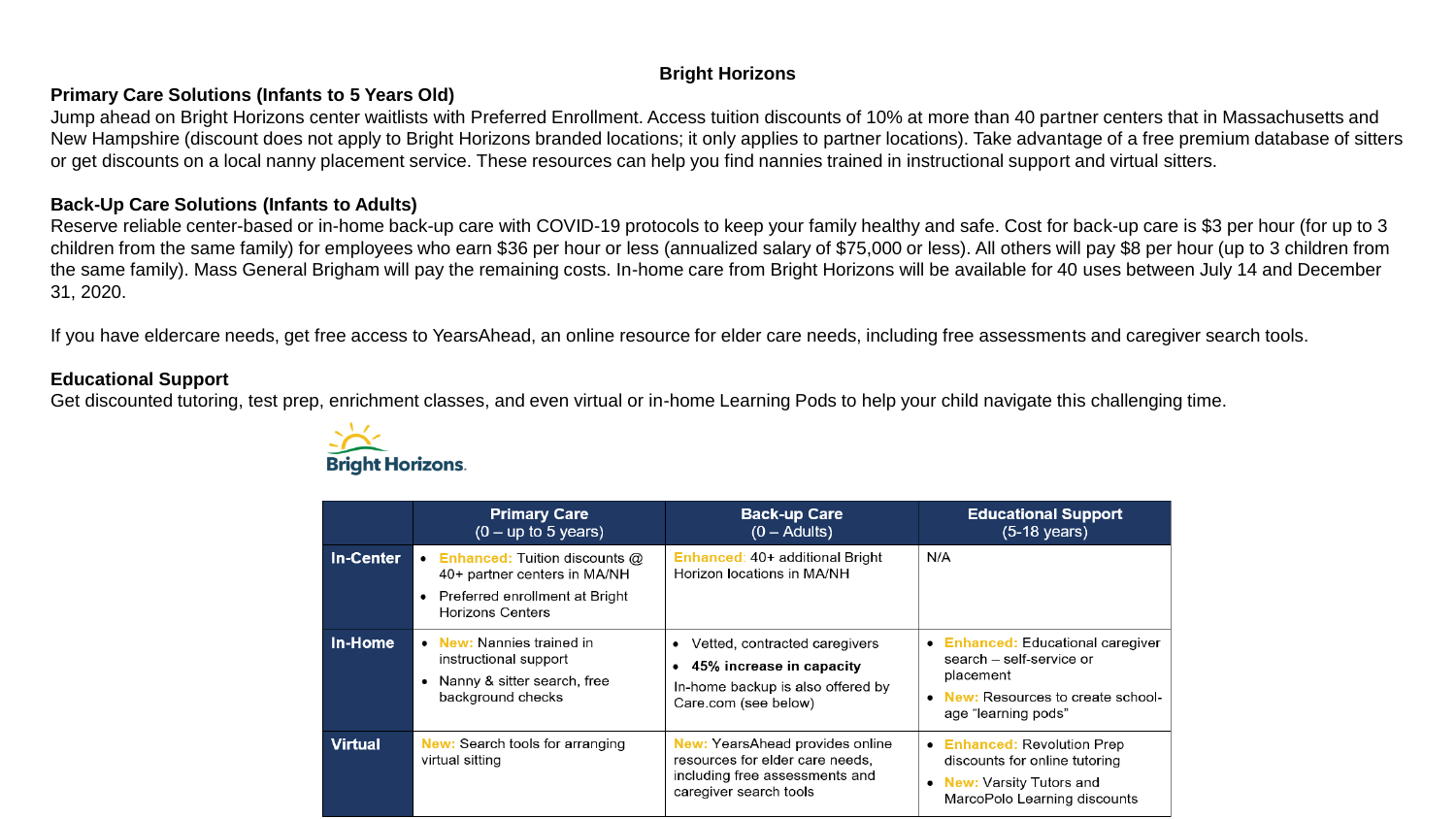#### **Bright Horizons**

#### **Primary Care Solutions (Infants to 5 Years Old)**

Jump ahead on Bright Horizons center waitlists with Preferred Enrollment. Access tuition discounts of 10% at more than 40 partner centers that in Massachusetts and New Hampshire (discount does not apply to Bright Horizons branded locations; it only applies to partner locations). Take advantage of a free premium database of sitters or get discounts on a local nanny placement service. These resources can help you find nannies trained in instructional support and virtual sitters.

#### **Back-Up Care Solutions (Infants to Adults)**

Reserve reliable center-based or in-home back-up care with COVID-19 protocols to keep your family healthy and safe. Cost for back-up care is \$3 per hour (for up to 3 children from the same family) for employees who earn \$36 per hour or less (annualized salary of \$75,000 or less). All others will pay \$8 per hour (up to 3 children from the same family). Mass General Brigham will pay the remaining costs. In-home care from Bright Horizons will be available for 40 uses between July 14 and December 31, 2020.

If you have eldercare needs, get free access to YearsAhead, an online resource for elder care needs, including free assessments and caregiver search tools.

#### **Educational Support**

Get discounted tutoring, test prep, enrichment classes, and even virtual or in-home Learning Pods to help your child navigate this challenging time.



|                  | <b>Primary Care</b><br>$(0 - up to 5 years)$                                                                                                                | <b>Back-up Care</b><br>$(0 - \text{Adu}$ (0                                                                                           | <b>Educational Support</b><br>$(5-18$ years)                                                                                                                  |
|------------------|-------------------------------------------------------------------------------------------------------------------------------------------------------------|---------------------------------------------------------------------------------------------------------------------------------------|---------------------------------------------------------------------------------------------------------------------------------------------------------------|
| <b>In-Center</b> | <b>Enhanced: Tuition discounts @</b><br>$\bullet$<br>40+ partner centers in MA/NH<br>Preferred enrollment at Bright<br>$\bullet$<br><b>Horizons Centers</b> | Enhanced: 40+ additional Bright<br>Horizon locations in MA/NH                                                                         | N/A                                                                                                                                                           |
| In-Home          | • New: Nannies trained in<br>instructional support<br>• Nanny & sitter search, free<br>background checks                                                    | Vetted, contracted caregivers<br>٠<br>45% increase in capacity<br>In-home backup is also offered by<br>Care.com (see below)           | <b>Enhanced:</b> Educational caregiver<br>$\bullet$<br>search - self-service or<br>placement<br>New: Resources to create school-<br>age "learning pods"       |
| <b>Virtual</b>   | <b>New:</b> Search tools for arranging<br>virtual sitting                                                                                                   | <b>New:</b> YearsAhead provides online<br>resources for elder care needs.<br>including free assessments and<br>caregiver search tools | <b>Enhanced: Revolution Prep</b><br>$\bullet$<br>discounts for online tutoring<br><b>New:</b> Varsity Tutors and<br>$\bullet$<br>MarcoPolo Learning discounts |